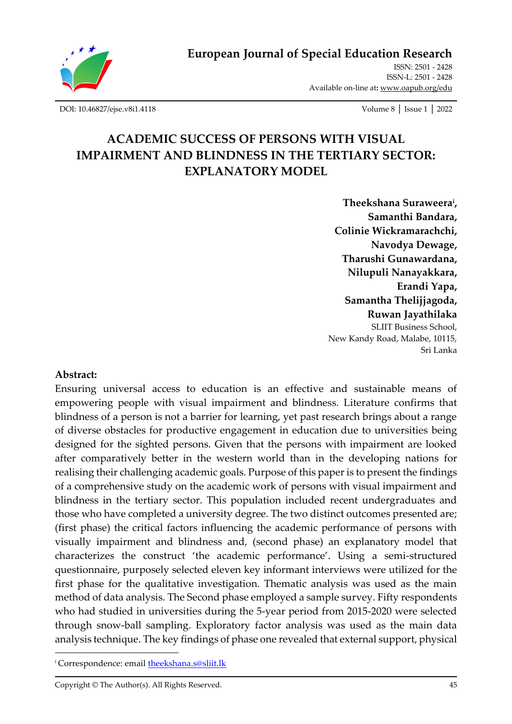

**European Journal of Special Education Research**

ISSN: 2501 - 2428 ISSN-L: 2501 - 2428 Available on-line at**:** [www.oapub.org/edu](http://www.oapub.org/edu)

[DOI: 10.46827/ejse.v8i1.4118](http://dx.doi.org/10.46827/ejse.v8i1.4118) Volume 8 │ Issue 1 │ 2022

# **ACADEMIC SUCCESS OF PERSONS WITH VISUAL IMPAIRMENT AND BLINDNESS IN THE TERTIARY SECTOR: EXPLANATORY MODEL**

**Theekshana Suraweera<sup>i</sup> , Samanthi Bandara, Colinie Wickramarachchi, Navodya Dewage, Tharushi Gunawardana, Nilupuli Nanayakkara, Erandi Yapa, Samantha Thelijjagoda, Ruwan Jayathilaka**  SLIIT Business School, New Kandy Road, Malabe, 10115, Sri Lanka

#### **Abstract:**

Ensuring universal access to education is an effective and sustainable means of empowering people with visual impairment and blindness. Literature confirms that blindness of a person is not a barrier for learning, yet past research brings about a range of diverse obstacles for productive engagement in education due to universities being designed for the sighted persons. Given that the persons with impairment are looked after comparatively better in the western world than in the developing nations for realising their challenging academic goals. Purpose of this paper is to present the findings of a comprehensive study on the academic work of persons with visual impairment and blindness in the tertiary sector. This population included recent undergraduates and those who have completed a university degree. The two distinct outcomes presented are; (first phase) the critical factors influencing the academic performance of persons with visually impairment and blindness and, (second phase) an explanatory model that characterizes the construct 'the academic performance'. Using a semi-structured questionnaire, purposely selected eleven key informant interviews were utilized for the first phase for the qualitative investigation. Thematic analysis was used as the main method of data analysis. The Second phase employed a sample survey. Fifty respondents who had studied in universities during the 5-year period from 2015-2020 were selected through snow-ball sampling. Exploratory factor analysis was used as the main data analysis technique. The key findings of phase one revealed that external support, physical

<sup>&</sup>lt;sup>i</sup> Correspondence: email **theekshana.s@sliit.lk**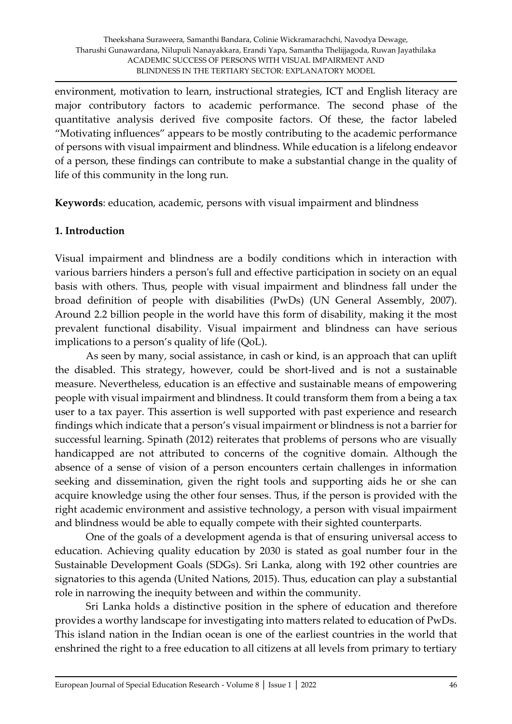environment, motivation to learn, instructional strategies, ICT and English literacy are major contributory factors to academic performance. The second phase of the quantitative analysis derived five composite factors. Of these, the factor labeled "Motivating influences" appears to be mostly contributing to the academic performance of persons with visual impairment and blindness. While education is a lifelong endeavor of a person, these findings can contribute to make a substantial change in the quality of life of this community in the long run.

**Keywords**: education, academic, persons with visual impairment and blindness

#### **1. Introduction**

Visual impairment and blindness are a bodily conditions which in interaction with various barriers hinders a person's full and effective participation in society on an equal basis with others. Thus, people with visual impairment and blindness fall under the broad definition of people with disabilities (PwDs) (UN General Assembly, 2007). Around 2.2 billion people in the world have this form of disability, making it the most prevalent functional disability. Visual impairment and blindness can have serious implications to a person's quality of life (QoL).

As seen by many, social assistance, in cash or kind, is an approach that can uplift the disabled. This strategy, however, could be short-lived and is not a sustainable measure. Nevertheless, education is an effective and sustainable means of empowering people with visual impairment and blindness. It could transform them from a being a tax user to a tax payer. This assertion is well supported with past experience and research findings which indicate that a person's visual impairment or blindness is not a barrier for successful learning. Spinath (2012) reiterates that problems of persons who are visually handicapped are not attributed to concerns of the cognitive domain. Although the absence of a sense of vision of a person encounters certain challenges in information seeking and dissemination, given the right tools and supporting aids he or she can acquire knowledge using the other four senses. Thus, if the person is provided with the right academic environment and assistive technology, a person with visual impairment and blindness would be able to equally compete with their sighted counterparts.

One of the goals of a development agenda is that of ensuring universal access to education. Achieving quality education by 2030 is stated as goal number four in the Sustainable Development Goals (SDGs). Sri Lanka, along with 192 other countries are signatories to this agenda (United Nations, 2015). Thus, education can play a substantial role in narrowing the inequity between and within the community.

Sri Lanka holds a distinctive position in the sphere of education and therefore provides a worthy landscape for investigating into matters related to education of PwDs. This island nation in the Indian ocean is one of the earliest countries in the world that enshrined the right to a free education to all citizens at all levels from primary to tertiary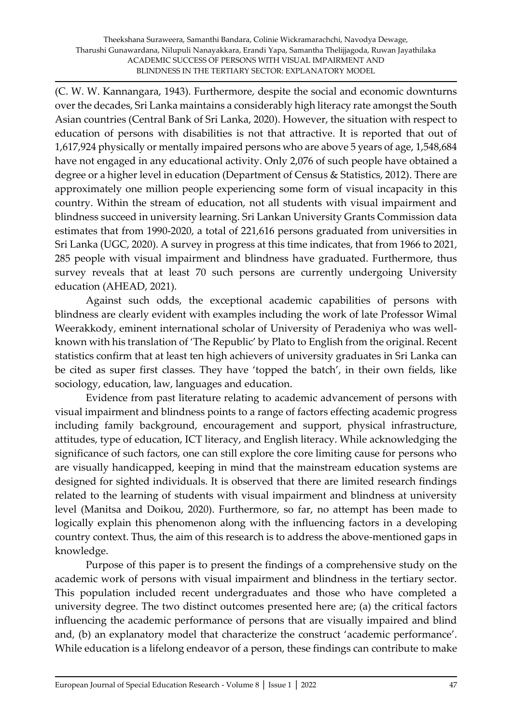(C. W. W. Kannangara, 1943). Furthermore, despite the social and economic downturns over the decades, Sri Lanka maintains a considerably high literacy rate amongst the South Asian countries (Central Bank of Sri Lanka, 2020). However, the situation with respect to education of persons with disabilities is not that attractive. It is reported that out of 1,617,924 physically or mentally impaired persons who are above 5 years of age, 1,548,684 have not engaged in any educational activity. Only 2,076 of such people have obtained a degree or a higher level in education (Department of Census & Statistics, 2012). There are approximately one million people experiencing some form of visual incapacity in this country. Within the stream of education, not all students with visual impairment and blindness succeed in university learning. Sri Lankan University Grants Commission data estimates that from 1990-2020, a total of 221,616 persons graduated from universities in Sri Lanka (UGC, 2020). A survey in progress at this time indicates, that from 1966 to 2021, 285 people with visual impairment and blindness have graduated. Furthermore, thus survey reveals that at least 70 such persons are currently undergoing University education (AHEAD, 2021).

Against such odds, the exceptional academic capabilities of persons with blindness are clearly evident with examples including the work of late Professor Wimal Weerakkody, eminent international scholar of University of Peradeniya who was wellknown with his translation of 'The Republic' by Plato to English from the original. Recent statistics confirm that at least ten high achievers of university graduates in Sri Lanka can be cited as super first classes. They have 'topped the batch', in their own fields, like sociology, education, law, languages and education.

Evidence from past literature relating to academic advancement of persons with visual impairment and blindness points to a range of factors effecting academic progress including family background, encouragement and support, physical infrastructure, attitudes, type of education, ICT literacy, and English literacy. While acknowledging the significance of such factors, one can still explore the core limiting cause for persons who are visually handicapped, keeping in mind that the mainstream education systems are designed for sighted individuals. It is observed that there are limited research findings related to the learning of students with visual impairment and blindness at university level (Manitsa and Doikou, 2020). Furthermore, so far, no attempt has been made to logically explain this phenomenon along with the influencing factors in a developing country context. Thus, the aim of this research is to address the above-mentioned gaps in knowledge.

Purpose of this paper is to present the findings of a comprehensive study on the academic work of persons with visual impairment and blindness in the tertiary sector. This population included recent undergraduates and those who have completed a university degree. The two distinct outcomes presented here are; (a) the critical factors influencing the academic performance of persons that are visually impaired and blind and, (b) an explanatory model that characterize the construct 'academic performance'. While education is a lifelong endeavor of a person, these findings can contribute to make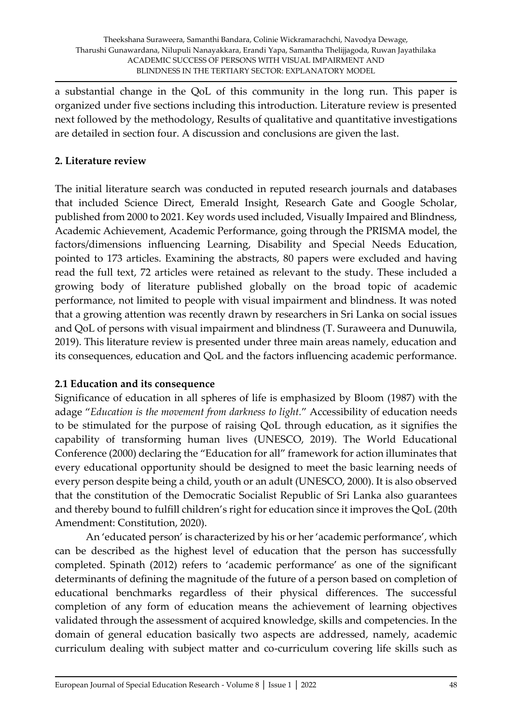a substantial change in the QoL of this community in the long run. This paper is organized under five sections including this introduction. Literature review is presented next followed by the methodology, Results of qualitative and quantitative investigations are detailed in section four. A discussion and conclusions are given the last.

# **2. Literature review**

The initial literature search was conducted in reputed research journals and databases that included Science Direct, Emerald Insight, Research Gate and Google Scholar, published from 2000 to 2021. Key words used included, Visually Impaired and Blindness, Academic Achievement, Academic Performance, going through the PRISMA model, the factors/dimensions influencing Learning, Disability and Special Needs Education, pointed to 173 articles. Examining the abstracts, 80 papers were excluded and having read the full text, 72 articles were retained as relevant to the study. These included a growing body of literature published globally on the broad topic of academic performance, not limited to people with visual impairment and blindness. It was noted that a growing attention was recently drawn by researchers in Sri Lanka on social issues and QoL of persons with visual impairment and blindness (T. Suraweera and Dunuwila, 2019). This literature review is presented under three main areas namely, education and its consequences, education and QoL and the factors influencing academic performance.

# **2.1 Education and its consequence**

Significance of education in all spheres of life is emphasized by Bloom (1987) with the adage "*Education is the movement from darkness to light.*" Accessibility of education needs to be stimulated for the purpose of raising QoL through education, as it signifies the capability of transforming human lives (UNESCO, 2019). The World Educational Conference (2000) declaring the "Education for all" framework for action illuminates that every educational opportunity should be designed to meet the basic learning needs of every person despite being a child, youth or an adult (UNESCO, 2000). It is also observed that the constitution of the Democratic Socialist Republic of Sri Lanka also guarantees and thereby bound to fulfill children's right for education since it improves the QoL (20th Amendment: Constitution, 2020).

An 'educated person' is characterized by his or her 'academic performance', which can be described as the highest level of education that the person has successfully completed. Spinath (2012) refers to 'academic performance' as one of the significant determinants of defining the magnitude of the future of a person based on completion of educational benchmarks regardless of their physical differences. The successful completion of any form of education means the achievement of learning objectives validated through the assessment of acquired knowledge, skills and competencies. In the domain of general education basically two aspects are addressed, namely, academic curriculum dealing with subject matter and co-curriculum covering life skills such as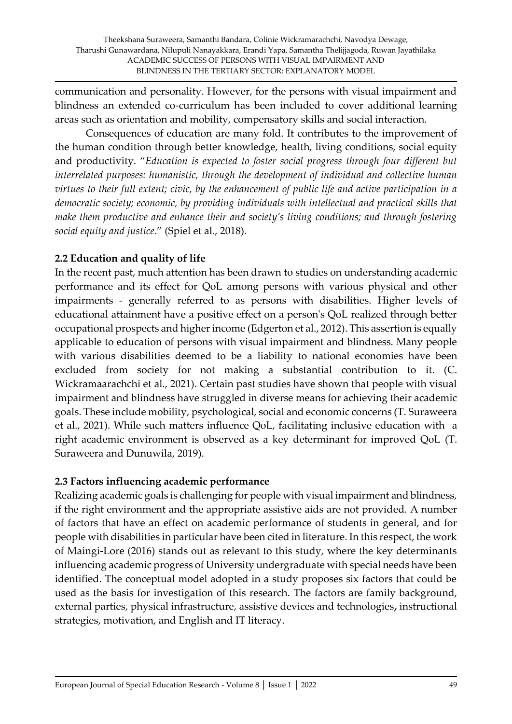communication and personality. However, for the persons with visual impairment and blindness an extended co-curriculum has been included to cover additional learning areas such as orientation and mobility, compensatory skills and social interaction.

Consequences of education are many fold. It contributes to the improvement of the human condition through better knowledge, health, living conditions, social equity and productivity. "*Education is expected to foster social progress through four different but interrelated purposes: humanistic, through the development of individual and collective human virtues to their full extent; civic, by the enhancement of public life and active participation in a democratic society; economic, by providing individuals with intellectual and practical skills that make them productive and enhance their and society's living conditions; and through fostering social equity and justice*." (Spiel et al., 2018).

# **2.2 Education and quality of life**

In the recent past, much attention has been drawn to studies on understanding academic performance and its effect for QoL among persons with various physical and other impairments - generally referred to as persons with disabilities. Higher levels of educational attainment have a positive effect on a person's QoL realized through better occupational prospects and higher income (Edgerton et al., 2012). This assertion is equally applicable to education of persons with visual impairment and blindness. Many people with various disabilities deemed to be a liability to national economies have been excluded from society for not making a substantial contribution to it. (C. Wickramaarachchi et al., 2021). Certain past studies have shown that people with visual impairment and blindness have struggled in diverse means for achieving their academic goals. These include mobility, psychological, social and economic concerns (T. Suraweera et al., 2021). While such matters influence QoL, facilitating inclusive education with a right academic environment is observed as a key determinant for improved QoL (T. Suraweera and Dunuwila, 2019).

# **2.3 Factors influencing academic performance**

Realizing academic goals is challenging for people with visual impairment and blindness, if the right environment and the appropriate assistive aids are not provided. A number of factors that have an effect on academic performance of students in general, and for people with disabilities in particular have been cited in literature. In this respect, the work of Maingi-Lore (2016) stands out as relevant to this study, where the key determinants influencing academic progress of University undergraduate with special needs have been identified. The conceptual model adopted in a study proposes six factors that could be used as the basis for investigation of this research. The factors are family background, external parties, physical infrastructure, assistive devices and technologies**,** instructional strategies, motivation, and English and IT literacy.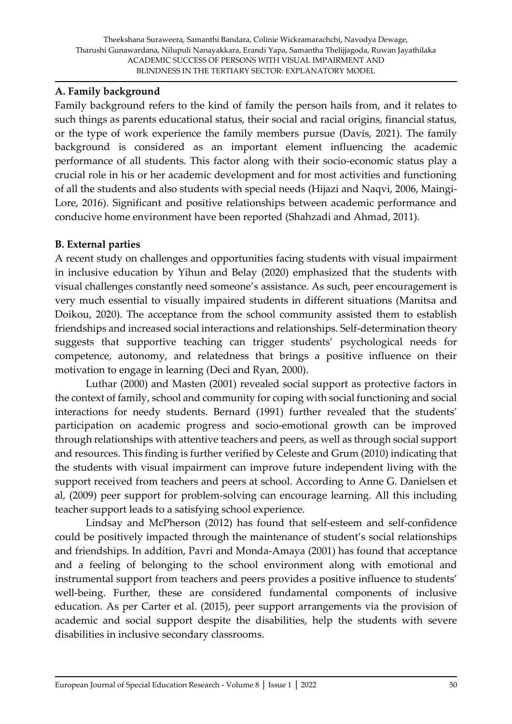#### **A. Family background**

Family background refers to the kind of family the person hails from, and it relates to such things as parents educational status, their social and racial origins, financial status, or the type of work experience the family members pursue (Davis, 2021). The family background is considered as an important element influencing the academic performance of all students. This factor along with their socio-economic status play a crucial role in his or her academic development and for most activities and functioning of all the students and also students with special needs (Hijazi and Naqvi, 2006, Maingi-Lore, 2016). Significant and positive relationships between academic performance and conducive home environment have been reported (Shahzadi and Ahmad, 2011).

#### **B. External parties**

A recent study on challenges and opportunities facing students with visual impairment in inclusive education by Yihun and Belay (2020) emphasized that the students with visual challenges constantly need someone's assistance. As such, peer encouragement is very much essential to visually impaired students in different situations (Manitsa and Doikou, 2020). The acceptance from the school community assisted them to establish friendships and increased social interactions and relationships. Self-determination theory suggests that supportive teaching can trigger students' psychological needs for competence, autonomy, and relatedness that brings a positive influence on their motivation to engage in learning (Deci and Ryan, 2000).

Luthar (2000) and Masten (2001) revealed social support as protective factors in the context of family, school and community for coping with social functioning and social interactions for needy students. Bernard (1991) further revealed that the students' participation on academic progress and socio-emotional growth can be improved through relationships with attentive teachers and peers, as well as through social support and resources. This finding is further verified by Celeste and Grum (2010) indicating that the students with visual impairment can improve future independent living with the support received from teachers and peers at school. According to Anne G. Danielsen et al, (2009) peer support for problem-solving can encourage learning. All this including teacher support leads to a satisfying school experience.

Lindsay and McPherson (2012) has found that self-esteem and self-confidence could be positively impacted through the maintenance of student's social relationships and friendships. In addition, Pavri and Monda-Amaya (2001) has found that acceptance and a feeling of belonging to the school environment along with emotional and instrumental support from teachers and peers provides a positive influence to students' well-being. Further, these are considered fundamental components of inclusive education. As per Carter et al. (2015), peer support arrangements via the provision of academic and social support despite the disabilities, help the students with severe disabilities in inclusive secondary classrooms.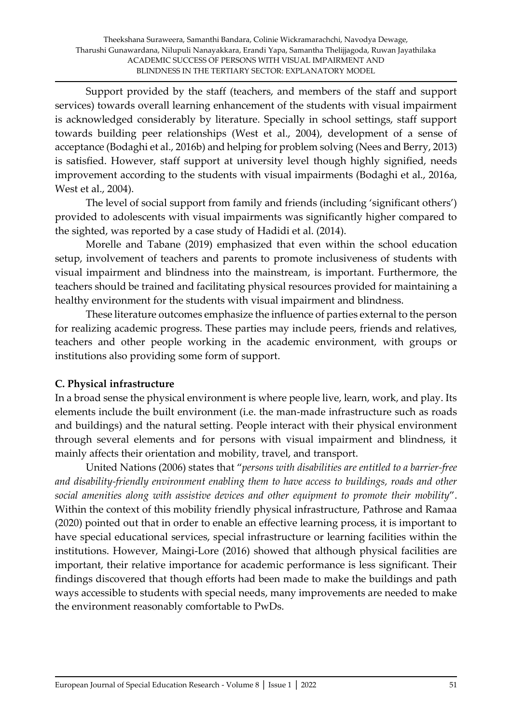Support provided by the staff (teachers, and members of the staff and support services) towards overall learning enhancement of the students with visual impairment is acknowledged considerably by literature. Specially in school settings, staff support towards building peer relationships (West et al., 2004), development of a sense of acceptance (Bodaghi et al., 2016b) and helping for problem solving (Nees and Berry, 2013) is satisfied. However, staff support at university level though highly signified, needs improvement according to the students with visual impairments (Bodaghi et al., 2016a, West et al., 2004).

The level of social support from family and friends (including 'significant others') provided to adolescents with visual impairments was significantly higher compared to the sighted, was reported by a case study of Hadidi et al. (2014).

Morelle and Tabane (2019) emphasized that even within the school education setup, involvement of teachers and parents to promote inclusiveness of students with visual impairment and blindness into the mainstream, is important. Furthermore, the teachers should be trained and facilitating physical resources provided for maintaining a healthy environment for the students with visual impairment and blindness.

These literature outcomes emphasize the influence of parties external to the person for realizing academic progress. These parties may include peers, friends and relatives, teachers and other people working in the academic environment, with groups or institutions also providing some form of support.

# **C. Physical infrastructure**

In a broad sense the physical environment is where people live, learn, work, and play. Its elements include the built environment (i.e. the man-made infrastructure such as roads and buildings) and the natural setting. People interact with their physical environment through several elements and for persons with visual impairment and blindness, it mainly affects their orientation and mobility, travel, and transport.

United Nations (2006) states that "*persons with disabilities are entitled to a barrier-free and disability-friendly environment enabling them to have access to buildings, roads and other social amenities along with assistive devices and other equipment to promote their mobility*". Within the context of this mobility friendly physical infrastructure, Pathrose and Ramaa (2020) pointed out that in order to enable an effective learning process, it is important to have special educational services, special infrastructure or learning facilities within the institutions. However, Maingi-Lore (2016) showed that although physical facilities are important, their relative importance for academic performance is less significant. Their findings discovered that though efforts had been made to make the buildings and path ways accessible to students with special needs, many improvements are needed to make the environment reasonably comfortable to PwDs.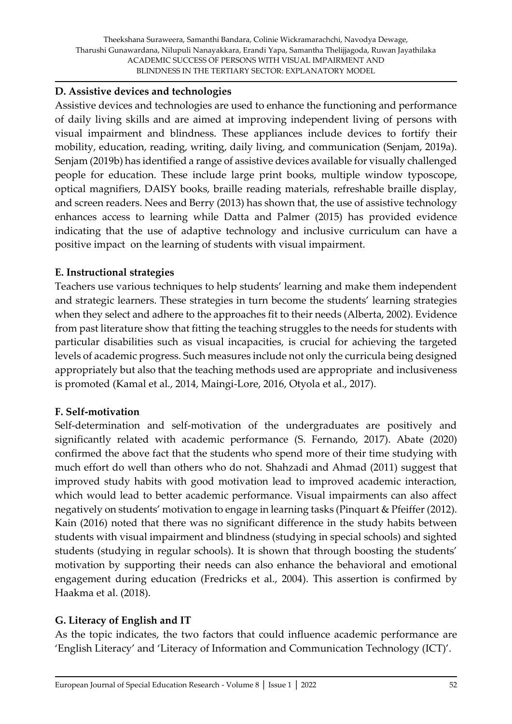#### **D. Assistive devices and technologies**

Assistive devices and technologies are used to enhance the functioning and performance of daily living skills and are aimed at improving independent living of persons with visual impairment and blindness. These appliances include devices to fortify their mobility, education, reading, writing, daily living, and communication (Senjam, 2019a). Senjam (2019b) has identified a range of assistive devices available for visually challenged people for education. These include large print books, multiple window typoscope, optical magnifiers, DAISY books, braille reading materials, refreshable braille display, and screen readers. Nees and Berry (2013) has shown that, the use of assistive technology enhances access to learning while Datta and Palmer (2015) has provided evidence indicating that the use of adaptive technology and inclusive curriculum can have a positive impact on the learning of students with visual impairment.

# **E. Instructional strategies**

Teachers use various techniques to help students' learning and make them independent and strategic learners. These strategies in turn become the students' learning strategies when they select and adhere to the approaches fit to their needs (Alberta, 2002). Evidence from past literature show that fitting the teaching struggles to the needs for students with particular disabilities such as visual incapacities, is crucial for achieving the targeted levels of academic progress. Such measures include not only the curricula being designed appropriately but also that the teaching methods used are appropriate and inclusiveness is promoted (Kamal et al., 2014, Maingi-Lore, 2016, Otyola et al., 2017).

#### **F. Self-motivation**

Self-determination and self-motivation of the undergraduates are positively and significantly related with academic performance (S. Fernando, 2017). Abate (2020) confirmed the above fact that the students who spend more of their time studying with much effort do well than others who do not. Shahzadi and Ahmad (2011) suggest that improved study habits with good motivation lead to improved academic interaction, which would lead to better academic performance. Visual impairments can also affect negatively on students' motivation to engage in learning tasks (Pinquart & Pfeiffer (2012). Kain (2016) noted that there was no significant difference in the study habits between students with visual impairment and blindness (studying in special schools) and sighted students (studying in regular schools). It is shown that through boosting the students' motivation by supporting their needs can also enhance the behavioral and emotional engagement during education (Fredricks et al., 2004). This assertion is confirmed by Haakma et al. (2018).

# **G. Literacy of English and IT**

As the topic indicates, the two factors that could influence academic performance are 'English Literacy' and 'Literacy of Information and Communication Technology (ICT)'.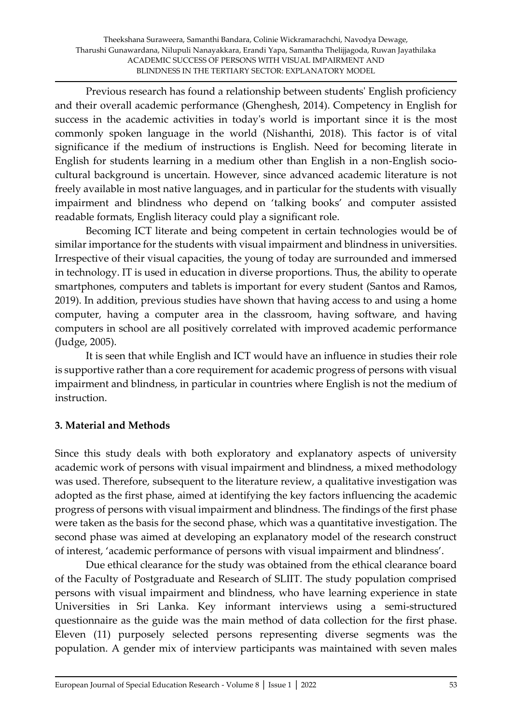Previous research has found a relationship between students' English proficiency and their overall academic performance (Ghenghesh, 2014). Competency in English for success in the academic activities in today's world is important since it is the most commonly spoken language in the world (Nishanthi, 2018). This factor is of vital significance if the medium of instructions is English. Need for becoming literate in English for students learning in a medium other than English in a non-English sociocultural background is uncertain. However, since advanced academic literature is not freely available in most native languages, and in particular for the students with visually impairment and blindness who depend on 'talking books' and computer assisted readable formats, English literacy could play a significant role.

Becoming ICT literate and being competent in certain technologies would be of similar importance for the students with visual impairment and blindness in universities. Irrespective of their visual capacities, the young of today are surrounded and immersed in technology. IT is used in education in diverse proportions. Thus, the ability to operate smartphones, computers and tablets is important for every student (Santos and Ramos, 2019). In addition, previous studies have shown that having access to and using a home computer, having a computer area in the classroom, having software, and having computers in school are all positively correlated with improved academic performance (Judge, 2005).

It is seen that while English and ICT would have an influence in studies their role is supportive rather than a core requirement for academic progress of persons with visual impairment and blindness, in particular in countries where English is not the medium of instruction.

# **3. Material and Methods**

Since this study deals with both exploratory and explanatory aspects of university academic work of persons with visual impairment and blindness, a mixed methodology was used. Therefore, subsequent to the literature review, a qualitative investigation was adopted as the first phase, aimed at identifying the key factors influencing the academic progress of persons with visual impairment and blindness. The findings of the first phase were taken as the basis for the second phase, which was a quantitative investigation. The second phase was aimed at developing an explanatory model of the research construct of interest, 'academic performance of persons with visual impairment and blindness'.

Due ethical clearance for the study was obtained from the ethical clearance board of the Faculty of Postgraduate and Research of SLIIT. The study population comprised persons with visual impairment and blindness, who have learning experience in state Universities in Sri Lanka. Key informant interviews using a semi-structured questionnaire as the guide was the main method of data collection for the first phase. Eleven (11) purposely selected persons representing diverse segments was the population. A gender mix of interview participants was maintained with seven males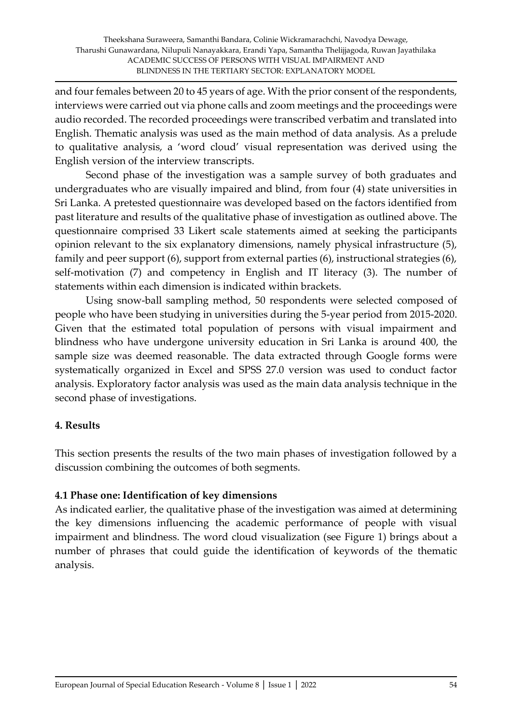and four females between 20 to 45 years of age. With the prior consent of the respondents, interviews were carried out via phone calls and zoom meetings and the proceedings were audio recorded. The recorded proceedings were transcribed verbatim and translated into English. Thematic analysis was used as the main method of data analysis. As a prelude to qualitative analysis, a 'word cloud' visual representation was derived using the English version of the interview transcripts.

Second phase of the investigation was a sample survey of both graduates and undergraduates who are visually impaired and blind, from four (4) state universities in Sri Lanka. A pretested questionnaire was developed based on the factors identified from past literature and results of the qualitative phase of investigation as outlined above. The questionnaire comprised 33 Likert scale statements aimed at seeking the participants opinion relevant to the six explanatory dimensions, namely physical infrastructure (5), family and peer support (6), support from external parties (6), instructional strategies (6), self-motivation (7) and competency in English and IT literacy (3). The number of statements within each dimension is indicated within brackets.

Using snow-ball sampling method, 50 respondents were selected composed of people who have been studying in universities during the 5-year period from 2015-2020. Given that the estimated total population of persons with visual impairment and blindness who have undergone university education in Sri Lanka is around 400, the sample size was deemed reasonable. The data extracted through Google forms were systematically organized in Excel and SPSS 27.0 version was used to conduct factor analysis. Exploratory factor analysis was used as the main data analysis technique in the second phase of investigations.

# **4. Results**

This section presents the results of the two main phases of investigation followed by a discussion combining the outcomes of both segments.

# **4.1 Phase one: Identification of key dimensions**

As indicated earlier, the qualitative phase of the investigation was aimed at determining the key dimensions influencing the academic performance of people with visual impairment and blindness. The word cloud visualization (see Figure 1) brings about a number of phrases that could guide the identification of keywords of the thematic analysis.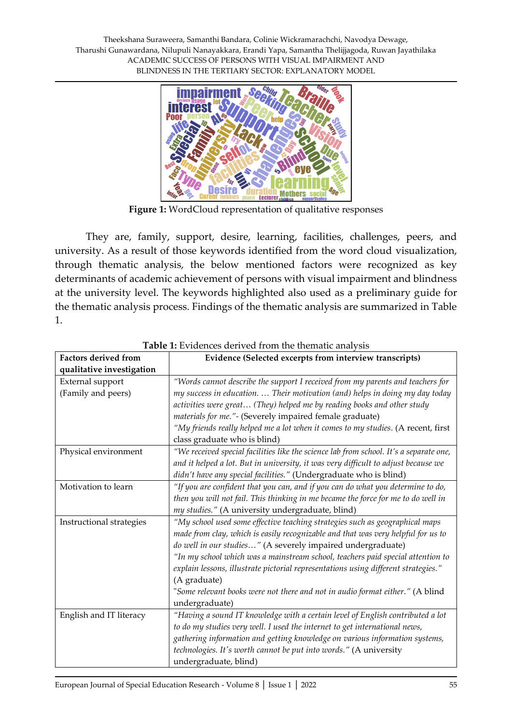

**Figure 1:** WordCloud representation of qualitative responses

They are, family, support, desire, learning, facilities, challenges, peers, and university. As a result of those keywords identified from the word cloud visualization, through thematic analysis, the below mentioned factors were recognized as key determinants of academic achievement of persons with visual impairment and blindness at the university level. The keywords highlighted also used as a preliminary guide for the thematic analysis process. Findings of the thematic analysis are summarized in Table 1.

| <b>Factors derived from</b> | Evidence (Selected excerpts from interview transcripts)                                |  |  |  |  |  |
|-----------------------------|----------------------------------------------------------------------------------------|--|--|--|--|--|
| qualitative investigation   |                                                                                        |  |  |  |  |  |
| External support            | "Words cannot describe the support I received from my parents and teachers for         |  |  |  |  |  |
| (Family and peers)          | my success in education.  Their motivation (and) helps in doing my day today           |  |  |  |  |  |
|                             | activities were great (They) helped me by reading books and other study                |  |  |  |  |  |
|                             | materials for me."- (Severely impaired female graduate)                                |  |  |  |  |  |
|                             | "My friends really helped me a lot when it comes to my studies. (A recent, first       |  |  |  |  |  |
|                             | class graduate who is blind)                                                           |  |  |  |  |  |
| Physical environment        | "We received special facilities like the science lab from school. It's a separate one, |  |  |  |  |  |
|                             | and it helped a lot. But in university, it was very difficult to adjust because we     |  |  |  |  |  |
|                             | didn't have any special facilities." (Undergraduate who is blind)                      |  |  |  |  |  |
| Motivation to learn         | "If you are confident that you can, and if you can do what you determine to do,        |  |  |  |  |  |
|                             | then you will not fail. This thinking in me became the force for me to do well in      |  |  |  |  |  |
|                             | my studies." (A university undergraduate, blind)                                       |  |  |  |  |  |
| Instructional strategies    | "My school used some effective teaching strategies such as geographical maps           |  |  |  |  |  |
|                             | made from clay, which is easily recognizable and that was very helpful for us to       |  |  |  |  |  |
|                             | do well in our studies" (A severely impaired undergraduate)                            |  |  |  |  |  |
|                             | "In my school which was a mainstream school, teachers paid special attention to        |  |  |  |  |  |
|                             | explain lessons, illustrate pictorial representations using different strategies."     |  |  |  |  |  |
|                             | (A graduate)                                                                           |  |  |  |  |  |
|                             | "Some relevant books were not there and not in audio format either." (A blind          |  |  |  |  |  |
|                             | undergraduate)                                                                         |  |  |  |  |  |
| English and IT literacy     | "Having a sound IT knowledge with a certain level of English contributed a lot         |  |  |  |  |  |
|                             | to do my studies very well. I used the internet to get international news,             |  |  |  |  |  |
|                             | gathering information and getting knowledge on various information systems,            |  |  |  |  |  |
|                             | technologies. It's worth cannot be put into words." (A university                      |  |  |  |  |  |
|                             | undergraduate, blind)                                                                  |  |  |  |  |  |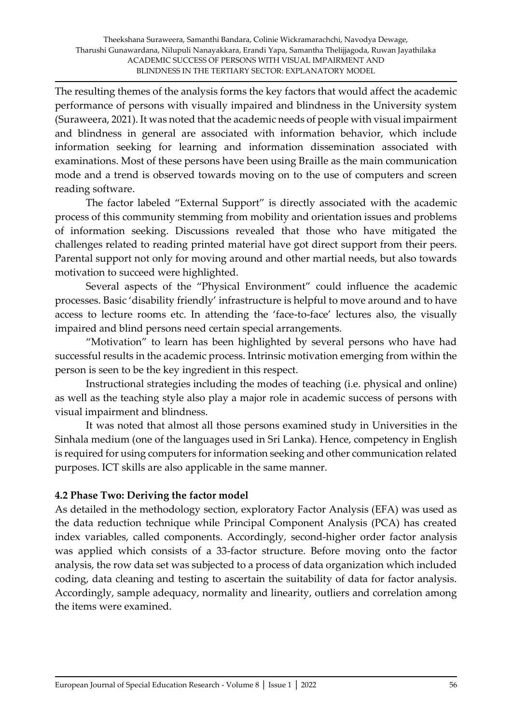The resulting themes of the analysis forms the key factors that would affect the academic performance of persons with visually impaired and blindness in the University system (Suraweera, 2021). It was noted that the academic needs of people with visual impairment and blindness in general are associated with information behavior, which include information seeking for learning and information dissemination associated with examinations. Most of these persons have been using Braille as the main communication mode and a trend is observed towards moving on to the use of computers and screen reading software.

The factor labeled "External Support" is directly associated with the academic process of this community stemming from mobility and orientation issues and problems of information seeking. Discussions revealed that those who have mitigated the challenges related to reading printed material have got direct support from their peers. Parental support not only for moving around and other martial needs, but also towards motivation to succeed were highlighted.

Several aspects of the "Physical Environment" could influence the academic processes. Basic 'disability friendly' infrastructure is helpful to move around and to have access to lecture rooms etc. In attending the 'face-to-face' lectures also, the visually impaired and blind persons need certain special arrangements.

"Motivation" to learn has been highlighted by several persons who have had successful results in the academic process. Intrinsic motivation emerging from within the person is seen to be the key ingredient in this respect.

Instructional strategies including the modes of teaching (i.e. physical and online) as well as the teaching style also play a major role in academic success of persons with visual impairment and blindness.

It was noted that almost all those persons examined study in Universities in the Sinhala medium (one of the languages used in Sri Lanka). Hence, competency in English is required for using computers for information seeking and other communication related purposes. ICT skills are also applicable in the same manner.

# **4.2 Phase Two: Deriving the factor model**

As detailed in the methodology section, exploratory Factor Analysis (EFA) was used as the data reduction technique while Principal Component Analysis (PCA) has created index variables, called components. Accordingly, second-higher order factor analysis was applied which consists of a 33-factor structure. Before moving onto the factor analysis, the row data set was subjected to a process of data organization which included coding, data cleaning and testing to ascertain the suitability of data for factor analysis. Accordingly, sample adequacy, normality and linearity, outliers and correlation among the items were examined.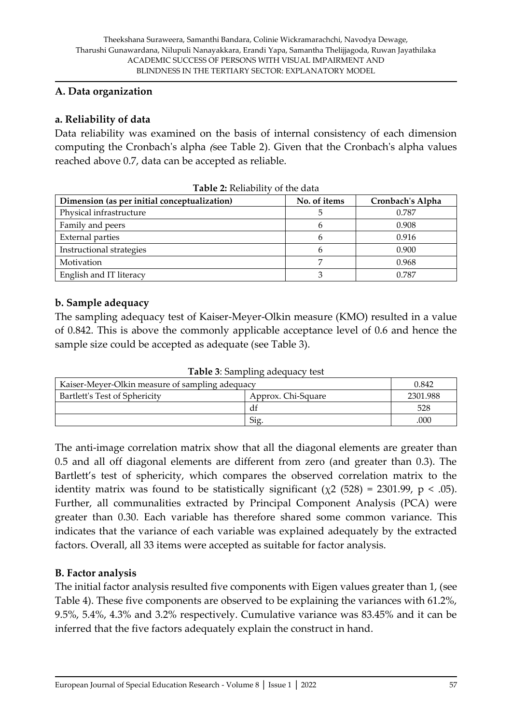#### **A. Data organization**

# **a. Reliability of data**

Data reliability was examined on the basis of internal consistency of each dimension computing the Cronbach's alpha (see Table 2). Given that the Cronbach's alpha values reached above 0.7, data can be accepted as reliable.

| 0100                                         |              |                  |  |  |  |  |  |
|----------------------------------------------|--------------|------------------|--|--|--|--|--|
| Dimension (as per initial conceptualization) | No. of items | Cronbach's Alpha |  |  |  |  |  |
| Physical infrastructure                      |              | 0.787            |  |  |  |  |  |
| Family and peers                             |              | 0.908            |  |  |  |  |  |
| <b>External parties</b>                      |              | 0.916            |  |  |  |  |  |
| Instructional strategies                     |              | 0.900            |  |  |  |  |  |
| Motivation                                   |              | 0.968            |  |  |  |  |  |
| English and IT literacy                      |              | 0.787            |  |  |  |  |  |

**Table 2:** Reliability of the data

#### **b. Sample adequacy**

The sampling adequacy test of Kaiser-Meyer-Olkin measure (KMO) resulted in a value of 0.842. This is above the commonly applicable acceptance level of 0.6 and hence the sample size could be accepted as adequate (see Table 3).

**Table 3**: Sampling adequacy test

| Kaiser-Meyer-Olkin measure of sampling adequacy | 0.842    |     |
|-------------------------------------------------|----------|-----|
| Bartlett's Test of Sphericity                   | 2301.988 |     |
|                                                 | df       | 528 |
|                                                 | Sig      | 000 |

The anti-image correlation matrix show that all the diagonal elements are greater than 0.5 and all off diagonal elements are different from zero (and greater than 0.3). The Bartlett's test of sphericity, which compares the observed correlation matrix to the identity matrix was found to be statistically significant ( $\chi$ 2 (528) = 2301.99, p < .05). Further, all communalities extracted by Principal Component Analysis (PCA) were greater than 0.30. Each variable has therefore shared some common variance. This indicates that the variance of each variable was explained adequately by the extracted factors. Overall, all 33 items were accepted as suitable for factor analysis.

# **B. Factor analysis**

The initial factor analysis resulted five components with Eigen values greater than 1, (see Table 4). These five components are observed to be explaining the variances with 61.2%, 9.5%, 5.4%, 4.3% and 3.2% respectively. Cumulative variance was 83.45% and it can be inferred that the five factors adequately explain the construct in hand.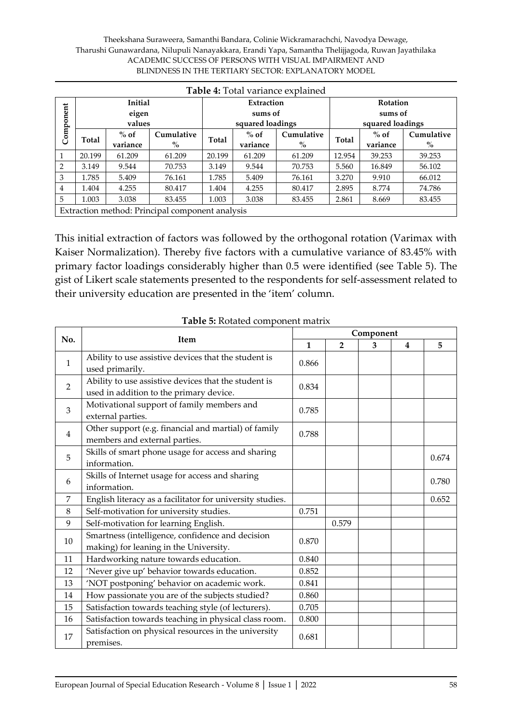#### Theekshana Suraweera, Samanthi Bandara, Colinie Wickramarachchi, Navodya Dewage, Tharushi Gunawardana, Nilupuli Nanayakkara, Erandi Yapa, Samantha Thelijjagoda, Ruwan Jayathilaka ACADEMIC SUCCESS OF PERSONS WITH VISUAL IMPAIRMENT AND BLINDNESS IN THE TERTIARY SECTOR: EXPLANATORY MODEL

|           | Table 4: Total variance explained |                |                                                 |                                                      |                  |            |        |                  |            |
|-----------|-----------------------------------|----------------|-------------------------------------------------|------------------------------------------------------|------------------|------------|--------|------------------|------------|
|           |                                   | <b>Initial</b> |                                                 |                                                      | Extraction       |            |        | <b>Rotation</b>  |            |
| Component |                                   | eigen          |                                                 |                                                      | sums of          |            |        | sums of          |            |
|           |                                   | values         |                                                 |                                                      | squared loadings |            |        | squared loadings |            |
|           | Total                             | $%$ of         | Cumulative                                      | Total                                                | $%$ of           | Cumulative | Total  | $%$ of           | Cumulative |
|           |                                   | variance       | $\%$                                            |                                                      | $\%$<br>variance |            |        | variance         | $\%$       |
|           | 20.199                            | 61.209         | 61.209                                          | 20.199                                               | 61.209           | 61.209     | 12.954 | 39.253           | 39.253     |
| 2         | 3.149                             | 9.544          | 70.753                                          | 3.149                                                | 9.544            | 70.753     | 5.560  | 16.849           | 56.102     |
| 3         | 1.785                             | 5.409          | 76.161                                          | 1.785                                                | 5.409            | 76.161     | 3.270  | 9.910            | 66.012     |
| 4         | 1.404                             | 4.255          | 80.417                                          | 1.404                                                | 4.255            | 80.417     | 2.895  | 8.774            | 74.786     |
| 5         | 1.003                             | 3.038          | 83.455                                          | 1.003<br>3.038<br>2.861<br>83.455<br>83.455<br>8.669 |                  |            |        |                  |            |
|           |                                   |                | Extraction method: Principal component analysis |                                                      |                  |            |        |                  |            |

This initial extraction of factors was followed by the orthogonal rotation (Varimax with Kaiser Normalization). Thereby five factors with a cumulative variance of 83.45% with primary factor loadings considerably higher than 0.5 were identified (see Table 5). The gist of Likert scale statements presented to the respondents for self-assessment related to their university education are presented in the 'item' column.

|                | <b>Item</b>                                                                                     |       | Component      |   |                |       |  |  |
|----------------|-------------------------------------------------------------------------------------------------|-------|----------------|---|----------------|-------|--|--|
| No.            |                                                                                                 |       | $\overline{2}$ | 3 | $\overline{4}$ | 5     |  |  |
| $\mathbf{1}$   | Ability to use assistive devices that the student is<br>used primarily.                         | 0.866 |                |   |                |       |  |  |
| $\overline{2}$ | Ability to use assistive devices that the student is<br>used in addition to the primary device. | 0.834 |                |   |                |       |  |  |
| 3              | Motivational support of family members and<br>external parties.                                 | 0.785 |                |   |                |       |  |  |
| $\overline{4}$ | Other support (e.g. financial and martial) of family<br>members and external parties.           | 0.788 |                |   |                |       |  |  |
| 5              | Skills of smart phone usage for access and sharing<br>information.                              |       |                |   |                | 0.674 |  |  |
| 6              | Skills of Internet usage for access and sharing<br>information.                                 |       |                |   |                | 0.780 |  |  |
| 7              | English literacy as a facilitator for university studies.                                       |       |                |   |                | 0.652 |  |  |
| 8              | Self-motivation for university studies.                                                         | 0.751 |                |   |                |       |  |  |
| 9              | Self-motivation for learning English.                                                           |       | 0.579          |   |                |       |  |  |
| 10             | Smartness (intelligence, confidence and decision<br>making) for leaning in the University.      | 0.870 |                |   |                |       |  |  |
| 11             | Hardworking nature towards education.                                                           | 0.840 |                |   |                |       |  |  |
| 12             | 'Never give up' behavior towards education.                                                     | 0.852 |                |   |                |       |  |  |
| 13             | 'NOT postponing' behavior on academic work.                                                     | 0.841 |                |   |                |       |  |  |
| 14             | How passionate you are of the subjects studied?                                                 | 0.860 |                |   |                |       |  |  |
| 15             | Satisfaction towards teaching style (of lecturers).                                             |       |                |   |                |       |  |  |
| 16             | Satisfaction towards teaching in physical class room.                                           | 0.800 |                |   |                |       |  |  |
| 17             | Satisfaction on physical resources in the university<br>premises.                               | 0.681 |                |   |                |       |  |  |

**Table 5:** Rotated component matrix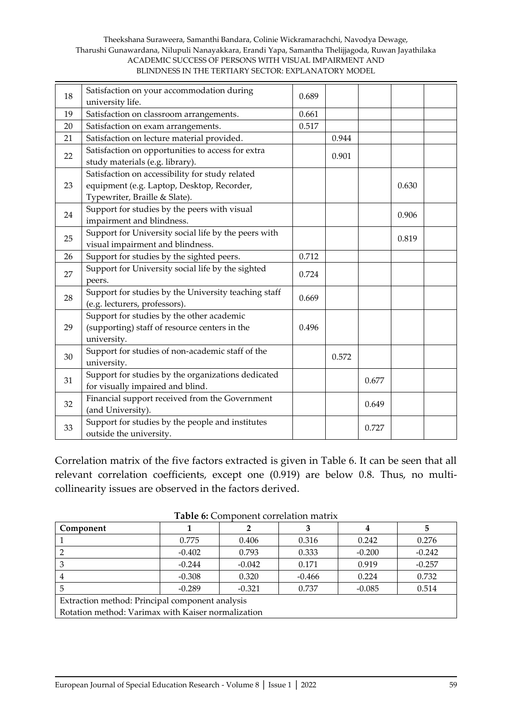#### Theekshana Suraweera, Samanthi Bandara, Colinie Wickramarachchi, Navodya Dewage, Tharushi Gunawardana, Nilupuli Nanayakkara, Erandi Yapa, Samantha Thelijjagoda, Ruwan Jayathilaka ACADEMIC SUCCESS OF PERSONS WITH VISUAL IMPAIRMENT AND BLINDNESS IN THE TERTIARY SECTOR: EXPLANATORY MODEL

| 18 | Satisfaction on your accommodation during<br>university life.                                                                  | 0.689 |       |       |       |  |
|----|--------------------------------------------------------------------------------------------------------------------------------|-------|-------|-------|-------|--|
| 19 | Satisfaction on classroom arrangements.                                                                                        | 0.661 |       |       |       |  |
| 20 | Satisfaction on exam arrangements.                                                                                             | 0.517 |       |       |       |  |
| 21 | Satisfaction on lecture material provided.                                                                                     |       | 0.944 |       |       |  |
| 22 | Satisfaction on opportunities to access for extra<br>study materials (e.g. library).                                           |       | 0.901 |       |       |  |
| 23 | Satisfaction on accessibility for study related<br>equipment (e.g. Laptop, Desktop, Recorder,<br>Typewriter, Braille & Slate). |       |       |       | 0.630 |  |
| 24 | Support for studies by the peers with visual<br>impairment and blindness.                                                      |       |       |       | 0.906 |  |
| 25 | Support for University social life by the peers with<br>visual impairment and blindness.                                       |       |       |       | 0.819 |  |
| 26 | Support for studies by the sighted peers.                                                                                      | 0.712 |       |       |       |  |
| 27 | Support for University social life by the sighted<br>peers.                                                                    | 0.724 |       |       |       |  |
| 28 | Support for studies by the University teaching staff<br>(e.g. lecturers, professors).                                          | 0.669 |       |       |       |  |
| 29 | Support for studies by the other academic<br>(supporting) staff of resource centers in the<br>university.                      | 0.496 |       |       |       |  |
| 30 | Support for studies of non-academic staff of the<br>university.                                                                |       | 0.572 |       |       |  |
| 31 | Support for studies by the organizations dedicated<br>for visually impaired and blind.                                         |       |       | 0.677 |       |  |
| 32 | Financial support received from the Government<br>(and University).                                                            |       |       | 0.649 |       |  |
| 33 | Support for studies by the people and institutes<br>outside the university.                                                    |       |       | 0.727 |       |  |

Correlation matrix of the five factors extracted is given in Table 6. It can be seen that all relevant correlation coefficients, except one (0.919) are below 0.8. Thus, no multicollinearity issues are observed in the factors derived.

| <b>rapie 6.</b> Confedent correlation matrix       |          |          |          |          |          |  |  |
|----------------------------------------------------|----------|----------|----------|----------|----------|--|--|
| Component                                          |          |          |          |          |          |  |  |
|                                                    | 0.775    | 0.406    | 0.316    | 0.242    | 0.276    |  |  |
|                                                    | $-0.402$ | 0.793    | 0.333    | $-0.200$ | $-0.242$ |  |  |
|                                                    | $-0.244$ | $-0.042$ | 0.171    | 0.919    | $-0.257$ |  |  |
|                                                    | $-0.308$ | 0.320    | $-0.466$ | 0.224    | 0.732    |  |  |
| $-0.289$<br>$-0.321$<br>0.737<br>$-0.085$<br>0.514 |          |          |          |          |          |  |  |
| Extraction method: Principal component analysis    |          |          |          |          |          |  |  |
| Rotation method: Varimax with Kaiser normalization |          |          |          |          |          |  |  |

**Table 6:** Component correlation matrix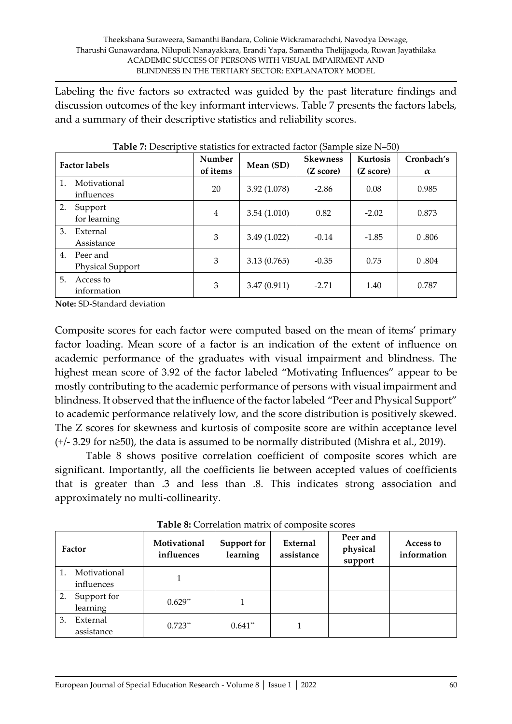Labeling the five factors so extracted was guided by the past literature findings and discussion outcomes of the key informant interviews. Table 7 presents the factors labels, and a summary of their descriptive statistics and reliability scores.

|    | <b>Factor labels</b>         | Number<br>of items | Mean (SD)    | <b>Skewness</b><br>(Z score) | Kurtosis<br>(Z score) | Cronbach's<br>$\alpha$ |
|----|------------------------------|--------------------|--------------|------------------------------|-----------------------|------------------------|
| 1. | Motivational<br>influences   | 20                 | 3.92 (1.078) | $-2.86$                      | 0.08                  | 0.985                  |
| 2. | Support<br>for learning      | $\overline{4}$     | 3.54(1.010)  | 0.82                         | $-2.02$               | 0.873                  |
| 3. | External<br>Assistance       | 3                  | 3.49(1.022)  | $-0.14$                      | $-1.85$               | 0.806                  |
| 4. | Peer and<br>Physical Support | 3                  | 3.13(0.765)  | $-0.35$                      | 0.75                  | 0.804                  |
| 5. | Access to<br>information     | 3                  | 3.47(0.911)  | $-2.71$                      | 1.40                  | 0.787                  |

**Table 7:** Descriptive statistics for extracted factor (Sample size N=50)

**Note:** SD-Standard deviation

Composite scores for each factor were computed based on the mean of items' primary factor loading. Mean score of a factor is an indication of the extent of influence on academic performance of the graduates with visual impairment and blindness. The highest mean score of 3.92 of the factor labeled "Motivating Influences" appear to be mostly contributing to the academic performance of persons with visual impairment and blindness. It observed that the influence of the factor labeled "Peer and Physical Support" to academic performance relatively low, and the score distribution is positively skewed. The Z scores for skewness and kurtosis of composite score are within acceptance level (+/- 3.29 for n≥50), the data is assumed to be normally distributed (Mishra et al., 2019).

Table 8 shows positive correlation coefficient of composite scores which are significant. Importantly, all the coefficients lie between accepted values of coefficients that is greater than .3 and less than .8. This indicates strong association and approximately no multi-collinearity.

| Factor |                            | Motivational<br>influences | Support for<br>learning | External<br>assistance | Peer and<br>physical<br>support | Access to<br>information |
|--------|----------------------------|----------------------------|-------------------------|------------------------|---------------------------------|--------------------------|
|        | Motivational<br>influences |                            |                         |                        |                                 |                          |
| 2.     | Support for<br>learning    | $0.629**$                  |                         |                        |                                 |                          |
| 3.     | External<br>assistance     | $0.723**$                  | $0.641**$               |                        |                                 |                          |

**Table 8:** Correlation matrix of composite scores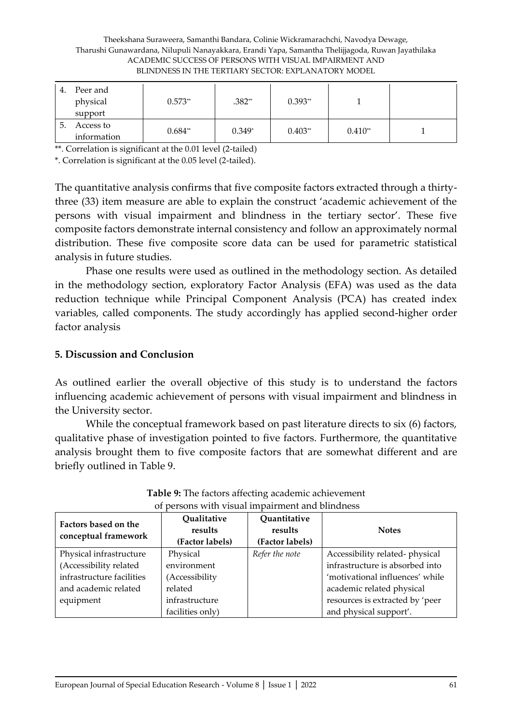#### Theekshana Suraweera, Samanthi Bandara, Colinie Wickramarachchi, Navodya Dewage, Tharushi Gunawardana, Nilupuli Nanayakkara, Erandi Yapa, Samantha Thelijjagoda, Ruwan Jayathilaka ACADEMIC SUCCESS OF PERSONS WITH VISUAL IMPAIRMENT AND BLINDNESS IN THE TERTIARY SECTOR: EXPLANATORY MODEL

| 4. | Peer and<br>physical<br>support | $0.573**$ | $.382**$ | $0.393**$ |           |  |
|----|---------------------------------|-----------|----------|-----------|-----------|--|
| 5. | Access to<br>information        | $0.684**$ | $0.349*$ | $0.403**$ | $0.410**$ |  |

\*\*. Correlation is significant at the 0.01 level (2-tailed)

\*. Correlation is significant at the 0.05 level (2-tailed).

The quantitative analysis confirms that five composite factors extracted through a thirtythree (33) item measure are able to explain the construct 'academic achievement of the persons with visual impairment and blindness in the tertiary sector'. These five composite factors demonstrate internal consistency and follow an approximately normal distribution. These five composite score data can be used for parametric statistical analysis in future studies.

Phase one results were used as outlined in the methodology section. As detailed in the methodology section, exploratory Factor Analysis (EFA) was used as the data reduction technique while Principal Component Analysis (PCA) has created index variables, called components. The study accordingly has applied second-higher order factor analysis

#### **5. Discussion and Conclusion**

As outlined earlier the overall objective of this study is to understand the factors influencing academic achievement of persons with visual impairment and blindness in the University sector.

While the conceptual framework based on past literature directs to six (6) factors, qualitative phase of investigation pointed to five factors. Furthermore, the quantitative analysis brought them to five composite factors that are somewhat different and are briefly outlined in Table 9.

| Factors based on the<br>conceptual framework | Qualitative<br>results<br>(Factor labels) | Quantitative<br>results<br>(Factor labels) | <b>Notes</b>                    |
|----------------------------------------------|-------------------------------------------|--------------------------------------------|---------------------------------|
| Physical infrastructure                      | Physical                                  | Refer the note                             | Accessibility related-physical  |
| (Accessibility related                       | environment                               |                                            | infrastructure is absorbed into |
| infrastructure facilities                    | (Accessibility                            |                                            | 'motivational influences' while |
| and academic related                         | related                                   |                                            | academic related physical       |
| equipment                                    | infrastructure                            |                                            | resources is extracted by 'peer |
|                                              | facilities only)                          |                                            | and physical support'.          |

| Table 9: The factors affecting academic achievement |
|-----------------------------------------------------|
| of persons with visual impairment and blindness     |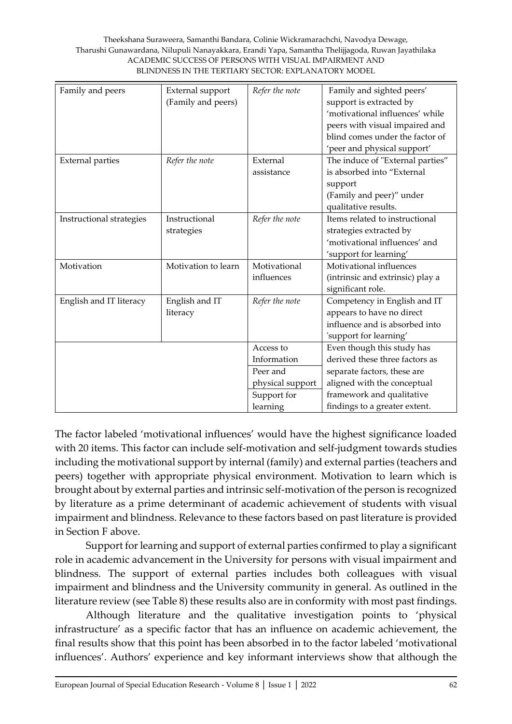#### Theekshana Suraweera, Samanthi Bandara, Colinie Wickramarachchi, Navodya Dewage, Tharushi Gunawardana, Nilupuli Nanayakkara, Erandi Yapa, Samantha Thelijjagoda, Ruwan Jayathilaka ACADEMIC SUCCESS OF PERSONS WITH VISUAL IMPAIRMENT AND BLINDNESS IN THE TERTIARY SECTOR: EXPLANATORY MODEL

| Family and peers         | External support    | Refer the note   | Family and sighted peers'        |
|--------------------------|---------------------|------------------|----------------------------------|
|                          | (Family and peers)  |                  | support is extracted by          |
|                          |                     |                  | 'motivational influences' while  |
|                          |                     |                  | peers with visual impaired and   |
|                          |                     |                  | blind comes under the factor of  |
|                          |                     |                  | 'peer and physical support'      |
| <b>External parties</b>  | Refer the note      | External         | The induce of "External parties" |
|                          |                     | assistance       | is absorbed into "External       |
|                          |                     |                  | support                          |
|                          |                     |                  | (Family and peer)" under         |
|                          |                     |                  | qualitative results.             |
| Instructional strategies | Instructional       | Refer the note   | Items related to instructional   |
|                          | strategies          |                  | strategies extracted by          |
|                          |                     |                  | 'motivational influences' and    |
|                          |                     |                  | 'support for learning'           |
| Motivation               | Motivation to learn | Motivational     | Motivational influences          |
|                          |                     | influences       | (intrinsic and extrinsic) play a |
|                          |                     |                  | significant role.                |
| English and IT literacy  | English and IT      | Refer the note   | Competency in English and IT     |
|                          | literacy            |                  | appears to have no direct        |
|                          |                     |                  | influence and is absorbed into   |
|                          |                     |                  | 'support for learning'           |
|                          |                     | Access to        | Even though this study has       |
|                          |                     | Information      | derived these three factors as   |
|                          |                     | Peer and         | separate factors, these are      |
|                          |                     | physical support | aligned with the conceptual      |
|                          |                     | Support for      | framework and qualitative        |
|                          |                     | learning         | findings to a greater extent.    |

The factor labeled 'motivational influences' would have the highest significance loaded with 20 items. This factor can include self-motivation and self-judgment towards studies including the motivational support by internal (family) and external parties (teachers and peers) together with appropriate physical environment. Motivation to learn which is brought about by external parties and intrinsic self-motivation of the person is recognized by literature as a prime determinant of academic achievement of students with visual impairment and blindness. Relevance to these factors based on past literature is provided in Section F above.

Support for learning and support of external parties confirmed to play a significant role in academic advancement in the University for persons with visual impairment and blindness. The support of external parties includes both colleagues with visual impairment and blindness and the University community in general. As outlined in the literature review (see Table 8) these results also are in conformity with most past findings.

Although literature and the qualitative investigation points to 'physical infrastructure' as a specific factor that has an influence on academic achievement, the final results show that this point has been absorbed in to the factor labeled 'motivational influences'. Authors' experience and key informant interviews show that although the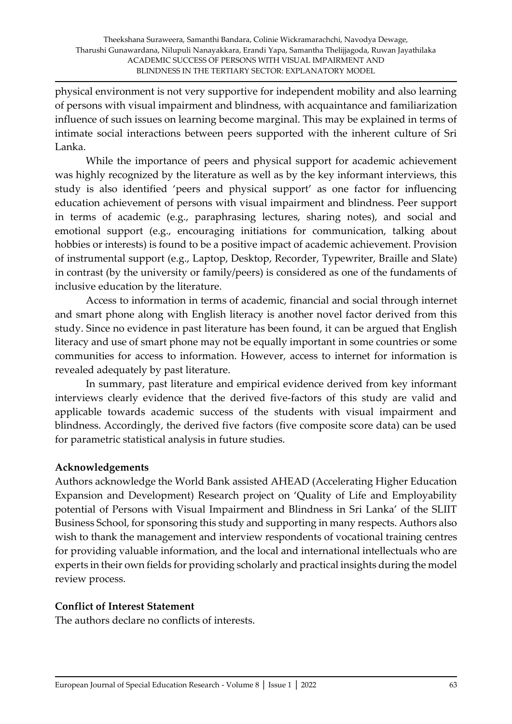physical environment is not very supportive for independent mobility and also learning of persons with visual impairment and blindness, with acquaintance and familiarization influence of such issues on learning become marginal. This may be explained in terms of intimate social interactions between peers supported with the inherent culture of Sri Lanka.

While the importance of peers and physical support for academic achievement was highly recognized by the literature as well as by the key informant interviews, this study is also identified 'peers and physical support' as one factor for influencing education achievement of persons with visual impairment and blindness. Peer support in terms of academic (e.g., paraphrasing lectures, sharing notes), and social and emotional support (e.g., encouraging initiations for communication, talking about hobbies or interests) is found to be a positive impact of academic achievement. Provision of instrumental support (e.g., Laptop, Desktop, Recorder, Typewriter, Braille and Slate) in contrast (by the university or family/peers) is considered as one of the fundaments of inclusive education by the literature.

Access to information in terms of academic, financial and social through internet and smart phone along with English literacy is another novel factor derived from this study. Since no evidence in past literature has been found, it can be argued that English literacy and use of smart phone may not be equally important in some countries or some communities for access to information. However, access to internet for information is revealed adequately by past literature.

In summary, past literature and empirical evidence derived from key informant interviews clearly evidence that the derived five-factors of this study are valid and applicable towards academic success of the students with visual impairment and blindness. Accordingly, the derived five factors (five composite score data) can be used for parametric statistical analysis in future studies.

# **Acknowledgements**

Authors acknowledge the World Bank assisted AHEAD (Accelerating Higher Education Expansion and Development) Research project on 'Quality of Life and Employability potential of Persons with Visual Impairment and Blindness in Sri Lanka' of the SLIIT Business School, for sponsoring this study and supporting in many respects. Authors also wish to thank the management and interview respondents of vocational training centres for providing valuable information, and the local and international intellectuals who are experts in their own fields for providing scholarly and practical insights during the model review process.

# **Conflict of Interest Statement**

The authors declare no conflicts of interests.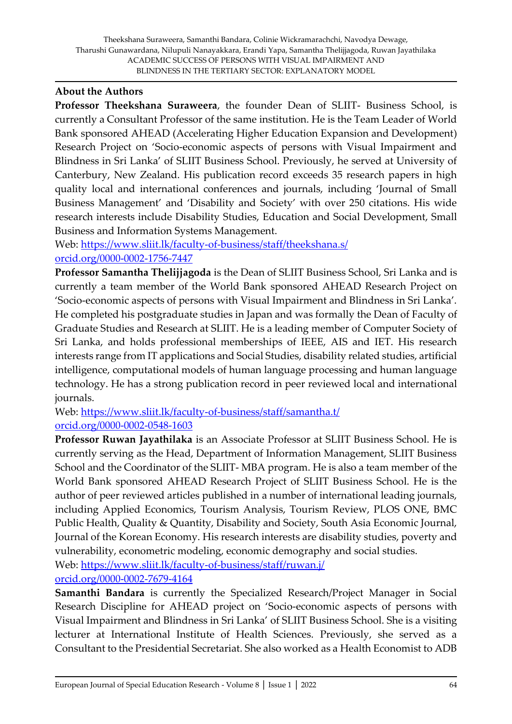#### **About the Authors**

**Professor Theekshana Suraweera**, the founder Dean of SLIIT- Business School, is currently a Consultant Professor of the same institution. He is the Team Leader of World Bank sponsored AHEAD (Accelerating Higher Education Expansion and Development) Research Project on 'Socio-economic aspects of persons with Visual Impairment and Blindness in Sri Lanka' of SLIIT Business School. Previously, he served at University of Canterbury, New Zealand. His publication record exceeds 35 research papers in high quality local and international conferences and journals, including 'Journal of Small Business Management' and 'Disability and Society' with over 250 citations. His wide research interests include Disability Studies, Education and Social Development, Small Business and Information Systems Management.

Web: <https://www.sliit.lk/faculty-of-business/staff/theekshana.s/> [orcid.org/0000-0002-1756-7447](https://orcid.org/0000-0002-1756-7447)

**Professor Samantha Thelijjagoda** is the Dean of SLIIT Business School, Sri Lanka and is currently a team member of the World Bank sponsored AHEAD Research Project on 'Socio-economic aspects of persons with Visual Impairment and Blindness in Sri Lanka'. He completed his postgraduate studies in Japan and was formally the Dean of Faculty of Graduate Studies and Research at SLIIT. He is a leading member of Computer Society of Sri Lanka, and holds professional memberships of IEEE, AIS and IET. His research interests range from IT applications and Social Studies, disability related studies, artificial intelligence, computational models of human language processing and human language technology. He has a strong publication record in peer reviewed local and international journals.

Web:<https://www.sliit.lk/faculty-of-business/staff/samantha.t/> [orcid.org/0000-0002-0548-1603](https://orcid.org/0000-0002-0548-1603)

**Professor Ruwan Jayathilaka** is an Associate Professor at SLIIT Business School. He is currently serving as the Head, Department of Information Management, SLIIT Business School and the Coordinator of the SLIIT- MBA program. He is also a team member of the World Bank sponsored AHEAD Research Project of SLIIT Business School. He is the author of peer reviewed articles published in a number of international leading journals, including Applied Economics, Tourism Analysis, Tourism Review, PLOS ONE, BMC Public Health, Quality & Quantity, Disability and Society, South Asia Economic Journal, Journal of the Korean Economy. His research interests are disability studies, poverty and vulnerability, econometric modeling, economic demography and social studies.

Web:<https://www.sliit.lk/faculty-of-business/staff/ruwan.j/>

[orcid.org/0000-0002-7679-4164](https://orcid.org/0000-0002-7679-4164)

**Samanthi Bandara** is currently the Specialized Research/Project Manager in Social Research Discipline for AHEAD project on 'Socio-economic aspects of persons with Visual Impairment and Blindness in Sri Lanka' of SLIIT Business School. She is a visiting lecturer at International Institute of Health Sciences. Previously, she served as a Consultant to the Presidential Secretariat. She also worked as a Health Economist to ADB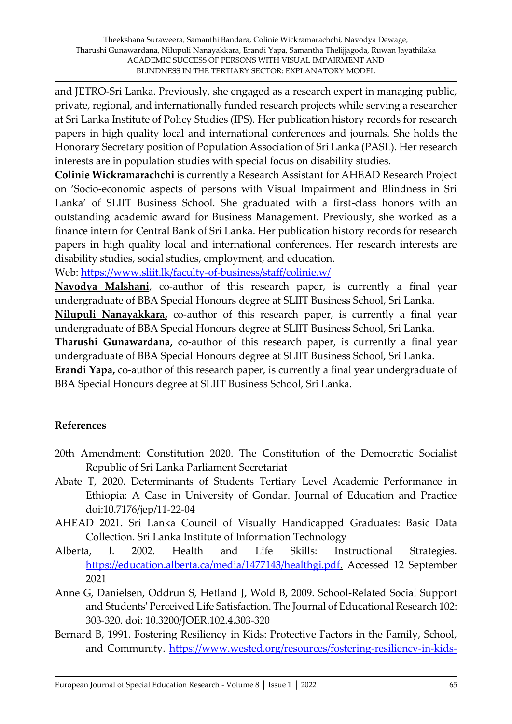and JETRO-Sri Lanka. Previously, she engaged as a research expert in managing public, private, regional, and internationally funded research projects while serving a researcher at Sri Lanka Institute of Policy Studies (IPS). Her publication history records for research papers in high quality local and international conferences and journals. She holds the Honorary Secretary position of Population Association of Sri Lanka (PASL). Her research interests are in population studies with special focus on disability studies.

**Colinie Wickramarachchi** is currently a Research Assistant for AHEAD Research Project on 'Socio-economic aspects of persons with Visual Impairment and Blindness in Sri Lanka' of SLIIT Business School. She graduated with a first-class honors with an outstanding academic award for Business Management. Previously, she worked as a finance intern for Central Bank of Sri Lanka. Her publication history records for research papers in high quality local and international conferences. Her research interests are disability studies, social studies, employment, and education.

Web:<https://www.sliit.lk/faculty-of-business/staff/colinie.w/>

**Navodya Malshani**, co-author of this research paper, is currently a final year undergraduate of BBA Special Honours degree at SLIIT Business School, Sri Lanka.

**Nilupuli Nanayakkara,** co-author of this research paper, is currently a final year undergraduate of BBA Special Honours degree at SLIIT Business School, Sri Lanka.

**Tharushi Gunawardana,** co-author of this research paper, is currently a final year undergraduate of BBA Special Honours degree at SLIIT Business School, Sri Lanka.

**Erandi Yapa,** co-author of this research paper, is currently a final year undergraduate of BBA Special Honours degree at SLIIT Business School, Sri Lanka.

# **References**

- 20th Amendment: Constitution 2020. The Constitution of the Democratic Socialist Republic of Sri Lanka Parliament Secretariat
- Abate T, 2020. Determinants of Students Tertiary Level Academic Performance in Ethiopia: A Case in University of Gondar. Journal of Education and Practice doi:10.7176/jep/11-22-04
- AHEAD 2021. Sri Lanka Council of Visually Handicapped Graduates: Basic Data Collection. Sri Lanka Institute of Information Technology
- Alberta, l. 2002. Health and Life Skills: Instructional Strategies. [https://education.alberta.ca/media/1477143/healthgi.pdf.](https://education.alberta.ca/media/1477143/healthgi.pdf) Accessed 12 September 2021
- Anne G, Danielsen, Oddrun S, Hetland J, Wold B, 2009. School-Related Social Support and Students' Perceived Life Satisfaction. The Journal of Educational Research 102: 303-320. doi: 10.3200/JOER.102.4.303-320
- Bernard B, 1991. Fostering Resiliency in Kids: Protective Factors in the Family, School, and Community. [https://www.wested.org/resources/fostering-resiliency-in-kids-](https://www.wested.org/resources/fostering-resiliency-in-kids-protective-factors-in-the-family-school-and-community/)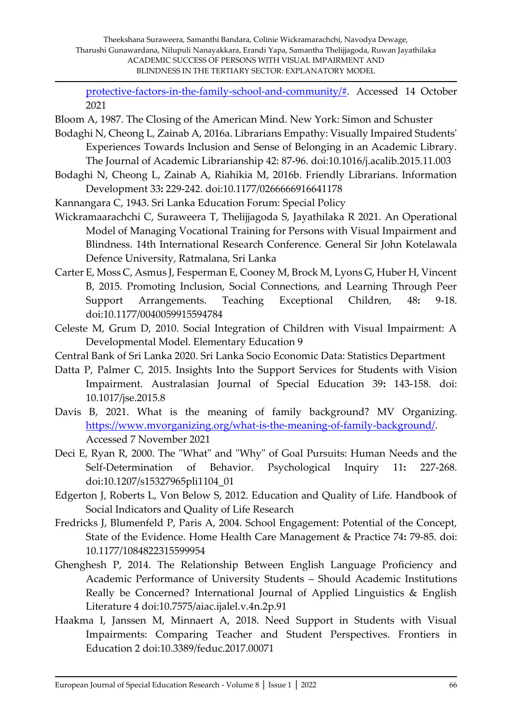[protective-factors-in-the-family-school-and-community/#.](https://www.wested.org/resources/fostering-resiliency-in-kids-protective-factors-in-the-family-school-and-community/) Accessed 14 October 2021

- Bloom A, 1987. The Closing of the American Mind. New York: Simon and Schuster
- Bodaghi N, Cheong L, Zainab A, 2016a. Librarians Empathy: Visually Impaired Students' Experiences Towards Inclusion and Sense of Belonging in an Academic Library. The Journal of Academic Librarianship 42: 87-96. doi:10.1016/j.acalib.2015.11.003
- Bodaghi N, Cheong L, Zainab A, Riahikia M, 2016b. Friendly Librarians. Information Development 33**:** 229-242. doi:10.1177/0266666916641178
- Kannangara C, 1943. Sri Lanka Education Forum: Special Policy
- Wickramaarachchi C, Suraweera T, Thelijjagoda S, Jayathilaka R 2021. An Operational Model of Managing Vocational Training for Persons with Visual Impairment and Blindness. 14th International Research Conference*.* General Sir John Kotelawala Defence University, Ratmalana, Sri Lanka
- Carter E, Moss C, Asmus J, Fesperman E, Cooney M, Brock M, Lyons G, Huber H, Vincent B, 2015. Promoting Inclusion, Social Connections, and Learning Through Peer Support Arrangements. Teaching Exceptional Children*,* 48**:** 9-18. doi:10.1177/0040059915594784
- Celeste M, Grum D, 2010. Social Integration of Children with Visual Impairment: A Developmental Model. Elementary Education 9
- Central Bank of Sri Lanka 2020. Sri Lanka Socio Economic Data: Statistics Department
- Datta P, Palmer C, 2015. Insights Into the Support Services for Students with Vision Impairment. Australasian Journal of Special Education 39**:** 143-158. doi: 10.1017/jse.2015.8
- Davis B, 2021. What is the meaning of family background? MV Organizing. [https://www.mvorganizing.org/what-is-the-meaning-of-family-background/.](https://www.mvorganizing.org/what-is-the-meaning-of-family-background/) Accessed 7 November 2021
- Deci E, Ryan R, 2000. The "What" and "Why" of Goal Pursuits: Human Needs and the Self-Determination of Behavior. Psychological Inquiry 11**:** 227-268. doi:10.1207/s15327965pli1104\_01
- Edgerton J, Roberts L, Von Below S, 2012. Education and Quality of Life. Handbook of Social Indicators and Quality of Life Research
- Fredricks J, Blumenfeld P, Paris A, 2004. School Engagement: Potential of the Concept, State of the Evidence. Home Health Care Management & Practice 74**:** 79-85. doi: 10.1177/1084822315599954
- Ghenghesh P, 2014. The Relationship Between English Language Proficiency and Academic Performance of University Students – Should Academic Institutions Really be Concerned? International Journal of Applied Linguistics & English Literature 4 doi:10.7575/aiac.ijalel.v.4n.2p.91
- Haakma I, Janssen M, Minnaert A, 2018. Need Support in Students with Visual Impairments: Comparing Teacher and Student Perspectives. Frontiers in Education 2 doi:10.3389/feduc.2017.00071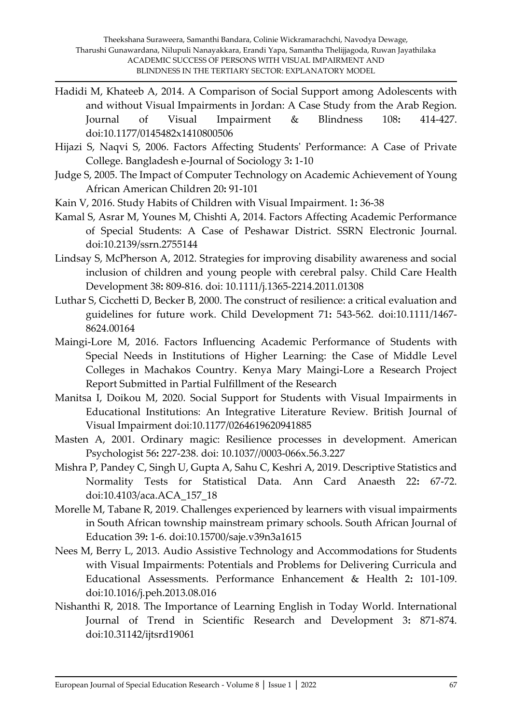- Hadidi M, Khateeb A, 2014. A Comparison of Social Support among Adolescents with and without Visual Impairments in Jordan: A Case Study from the Arab Region. Journal of Visual Impairment & Blindness 108**:** 414-427. doi:10.1177/0145482x1410800506
- Hijazi S, Naqvi S, 2006. Factors Affecting Students' Performance: A Case of Private College. Bangladesh e-Journal of Sociology 3**:** 1-10
- Judge S, 2005. The Impact of Computer Technology on Academic Achievement of Young African American Children 20**:** 91-101
- Kain V, 2016. Study Habits of Children with Visual Impairment. 1**:** 36-38
- Kamal S, Asrar M, Younes M, Chishti A, 2014. Factors Affecting Academic Performance of Special Students: A Case of Peshawar District. SSRN Electronic Journal. doi:10.2139/ssrn.2755144
- Lindsay S, McPherson A, 2012. Strategies for improving disability awareness and social inclusion of children and young people with cerebral palsy. Child Care Health Development 38**:** 809-816. doi: 10.1111/j.1365-2214.2011.01308
- Luthar S, Cicchetti D, Becker B, 2000. The construct of resilience: a critical evaluation and guidelines for future work. Child Development 71**:** 543-562. doi:10.1111/1467- 8624.00164
- Maingi-Lore M, 2016. Factors Influencing Academic Performance of Students with Special Needs in Institutions of Higher Learning: the Case of Middle Level Colleges in Machakos Country. Kenya Mary Maingi-Lore a Research Project Report Submitted in Partial Fulfillment of the Research
- Manitsa I, Doikou M, 2020. Social Support for Students with Visual Impairments in Educational Institutions: An Integrative Literature Review. British Journal of Visual Impairment doi:10.1177/0264619620941885
- Masten A, 2001. Ordinary magic: Resilience processes in development. American Psychologist 56**:** 227-238. doi: 10.1037//0003-066x.56.3.227
- Mishra P, Pandey C, Singh U, Gupta A, Sahu C, Keshri A, 2019. Descriptive Statistics and Normality Tests for Statistical Data. Ann Card Anaesth 22**:** 67-72. doi:10.4103/aca.ACA\_157\_18
- Morelle M, Tabane R, 2019. Challenges experienced by learners with visual impairments in South African township mainstream primary schools. South African Journal of Education 39**:** 1-6. doi:10.15700/saje.v39n3a1615
- Nees M, Berry L, 2013. Audio Assistive Technology and Accommodations for Students with Visual Impairments: Potentials and Problems for Delivering Curricula and Educational Assessments. Performance Enhancement & Health 2**:** 101-109. doi:10.1016/j.peh.2013.08.016
- Nishanthi R, 2018. The Importance of Learning English in Today World. International Journal of Trend in Scientific Research and Development 3**:** 871-874. doi:10.31142/ijtsrd19061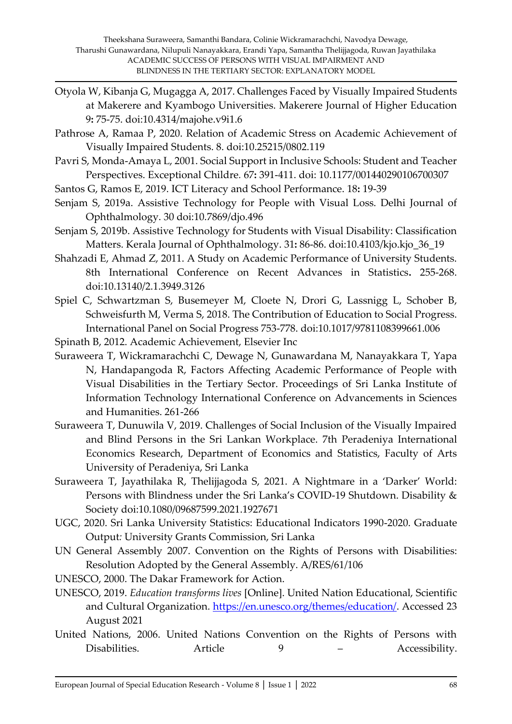- Otyola W, Kibanja G, Mugagga A, 2017. Challenges Faced by Visually Impaired Students at Makerere and Kyambogo Universities. Makerere Journal of Higher Education 9**:** 75-75. doi:10.4314/majohe.v9i1.6
- Pathrose A, Ramaa P, 2020. Relation of Academic Stress on Academic Achievement of Visually Impaired Students. 8. doi:10.25215/0802.119
- Pavri S, Monda-Amaya L, 2001. Social Support in Inclusive Schools: Student and Teacher Perspectives. Exceptional Childre*.* 67**:** 391-411. doi: 10.1177/001440290106700307
- Santos G, Ramos E, 2019. ICT Literacy and School Performance. 18**:** 19-39
- Senjam S, 2019a. Assistive Technology for People with Visual Loss. Delhi Journal of Ophthalmology. 30 doi:10.7869/djo.496
- Senjam S, 2019b. Assistive Technology for Students with Visual Disability: Classification Matters. Kerala Journal of Ophthalmology. 31**:** 86-86. doi:10.4103/kjo.kjo\_36\_19
- Shahzadi E, Ahmad Z, 2011. A Study on Academic Performance of University Students. 8th International Conference on Recent Advances in Statistics**.** 255-268. doi:10.13140/2.1.3949.3126
- Spiel C, Schwartzman S, Busemeyer M, Cloete N, Drori G, Lassnigg L, Schober B, Schweisfurth M, Verma S, 2018. The Contribution of Education to Social Progress. International Panel on Social Progress 753-778. doi:10.1017/9781108399661.006
- Spinath B, 2012. Academic Achievement, Elsevier Inc
- Suraweera T, Wickramarachchi C, Dewage N, Gunawardana M, Nanayakkara T, Yapa N, Handapangoda R, Factors Affecting Academic Performance of People with Visual Disabilities in the Tertiary Sector. Proceedings of Sri Lanka Institute of Information Technology International Conference on Advancements in Sciences and Humanities. 261-266
- Suraweera T, Dunuwila V, 2019. Challenges of Social Inclusion of the Visually Impaired and Blind Persons in the Sri Lankan Workplace. 7th Peradeniya International Economics Research, Department of Economics and Statistics, Faculty of Arts University of Peradeniya, Sri Lanka
- Suraweera T, Jayathilaka R, Thelijjagoda S, 2021. A Nightmare in a 'Darker' World: Persons with Blindness under the Sri Lanka's COVID-19 Shutdown. Disability & Society doi:10.1080/09687599.2021.1927671
- UGC, 2020. Sri Lanka University Statistics: Educational Indicators 1990-2020. Graduate Output*:* University Grants Commission, Sri Lanka
- UN General Assembly 2007. Convention on the Rights of Persons with Disabilities: Resolution Adopted by the General Assembly. A/RES/61/106
- UNESCO, 2000. The Dakar Framework for Action.
- UNESCO, 2019. *Education transforms lives* [Online]. United Nation Educational, Scientific and Cultural Organization. [https://en.unesco.org/themes/education/.](https://en.unesco.org/themes/education/) Accessed 23 August 2021
- United Nations, 2006. United Nations Convention on the Rights of Persons with Disabilities. Article 9 – Accessibility.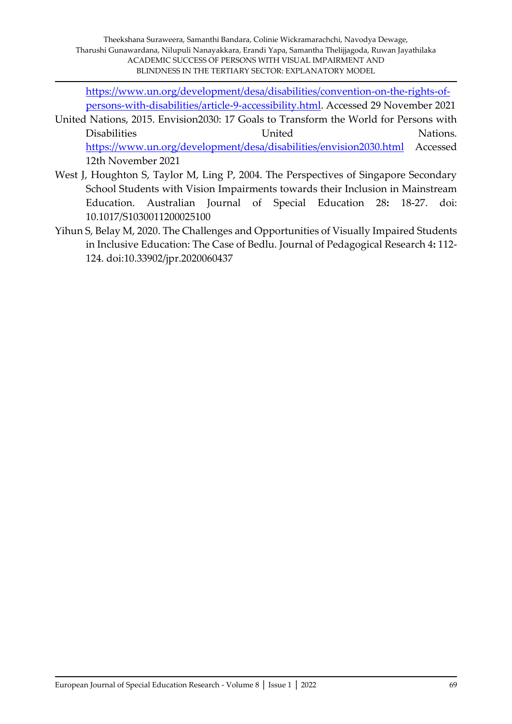[https://www.un.org/development/desa/disabilities/convention-on-the-rights-of](https://www.un.org/development/desa/disabilities/convention-on-the-rights-of-persons-with-disabilities/article-9-accessibility.html)[persons-with-disabilities/article-9-accessibility.html.](https://www.un.org/development/desa/disabilities/convention-on-the-rights-of-persons-with-disabilities/article-9-accessibility.html) Accessed 29 November 2021

United Nations, 2015. Envision2030: 17 Goals to Transform the World for Persons with Disabilities **United** United Nations. <https://www.un.org/development/desa/disabilities/envision2030.html> Accessed 12th November 2021

- West J, Houghton S, Taylor M, Ling P, 2004. The Perspectives of Singapore Secondary School Students with Vision Impairments towards their Inclusion in Mainstream Education. Australian Journal of Special Education 28**:** 18-27. doi: 10.1017/S1030011200025100
- Yihun S, Belay M, 2020. The Challenges and Opportunities of Visually Impaired Students in Inclusive Education: The Case of Bedlu. Journal of Pedagogical Research 4**:** 112- 124. doi:10.33902/jpr.2020060437